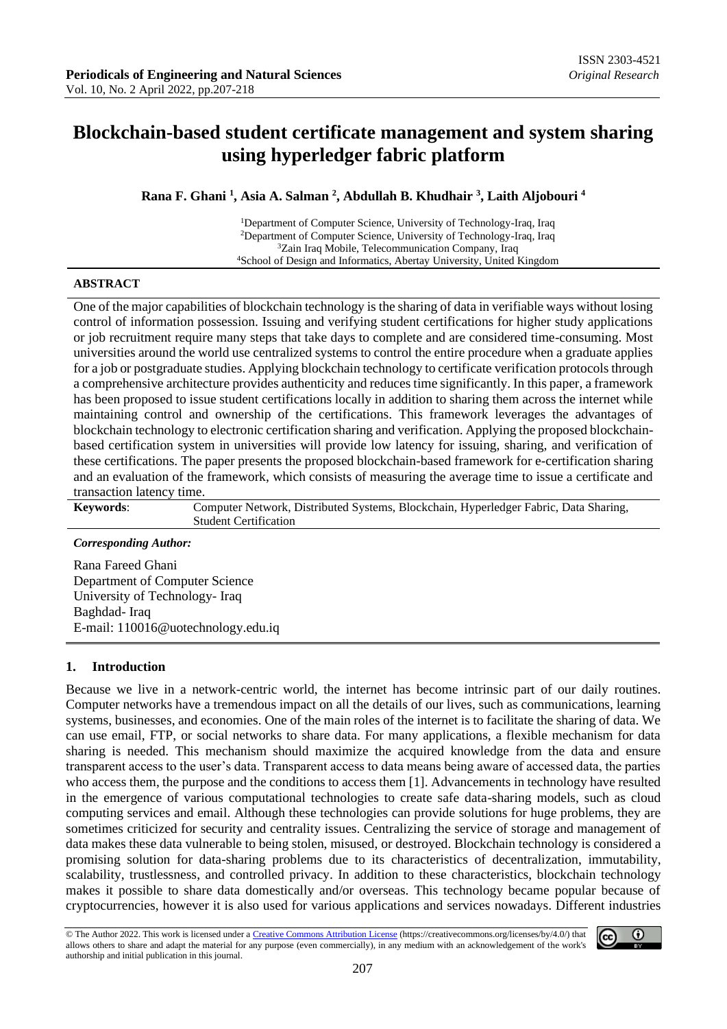# **Blockchain-based student certificate management and system sharing using hyperledger fabric platform**

### **Rana F. Ghani <sup>1</sup> , Asia A. Salman <sup>2</sup> , Abdullah B. Khudhair <sup>3</sup> , Laith Aljobouri <sup>4</sup>**

Department of Computer Science, University of Technology-Iraq, Iraq Department of Computer Science, University of Technology-Iraq, Iraq Zain Iraq Mobile, Telecommunication Company, Iraq School of Design and Informatics, Abertay University, United Kingdom

#### **ABSTRACT**

One of the major capabilities of blockchain technology is the sharing of data in verifiable ways without losing control of information possession. Issuing and verifying student certifications for higher study applications or job recruitment require many steps that take days to complete and are considered time-consuming. Most universities around the world use centralized systems to control the entire procedure when a graduate applies for a job or postgraduate studies. Applying blockchain technology to certificate verification protocols through a comprehensive architecture provides authenticity and reduces time significantly. In this paper, a framework has been proposed to issue student certifications locally in addition to sharing them across the internet while maintaining control and ownership of the certifications. This framework leverages the advantages of blockchain technology to electronic certification sharing and verification. Applying the proposed blockchainbased certification system in universities will provide low latency for issuing, sharing, and verification of these certifications. The paper presents the proposed blockchain-based framework for e-certification sharing and an evaluation of the framework, which consists of measuring the average time to issue a certificate and transaction latency time.

**Keywords**: Computer Network, Distributed Systems, Blockchain, Hyperledger Fabric, Data Sharing, Student Certification

#### *Corresponding Author:*

Rana Fareed Ghani Department of Computer Science University of Technology- Iraq Baghdad- Iraq E-mail: 110016@uotechnology.edu.iq

#### **1. Introduction**

Because we live in a network-centric world, the internet has become intrinsic part of our daily routines. Computer networks have a tremendous impact on all the details of our lives, such as communications, learning systems, businesses, and economies. One of the main roles of the internet is to facilitate the sharing of data. We can use email, FTP, or social networks to share data. For many applications, a flexible mechanism for data sharing is needed. This mechanism should maximize the acquired knowledge from the data and ensure transparent access to the user's data. Transparent access to data means being aware of accessed data, the parties who access them, the purpose and the conditions to access them [1]. Advancements in technology have resulted in the emergence of various computational technologies to create safe data-sharing models, such as cloud computing services and email. Although these technologies can provide solutions for huge problems, they are sometimes criticized for security and centrality issues. Centralizing the service of storage and management of data makes these data vulnerable to being stolen, misused, or destroyed. Blockchain technology is considered a promising solution for data-sharing problems due to its characteristics of decentralization, immutability, scalability, trustlessness, and controlled privacy. In addition to these characteristics, blockchain technology makes it possible to share data domestically and/or overseas. This technology became popular because of cryptocurrencies, however it is also used for various applications and services nowadays. Different industries

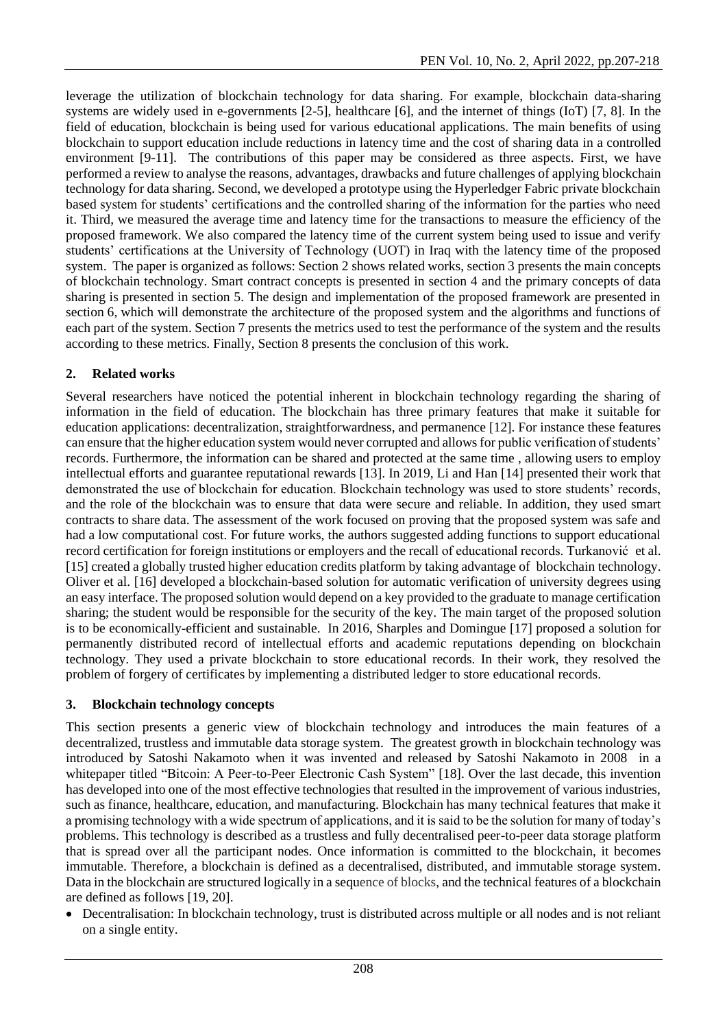leverage the utilization of blockchain technology for data sharing. For example, blockchain data-sharing systems are widely used in e-governments [2-5], healthcare [6], and the internet of things (IoT) [7, 8]. In the field of education, blockchain is being used for various educational applications. The main benefits of using blockchain to support education include reductions in latency time and the cost of sharing data in a controlled environment [9-11]. The contributions of this paper may be considered as three aspects. First, we have performed a review to analyse the reasons, advantages, drawbacks and future challenges of applying blockchain technology for data sharing. Second, we developed a prototype using the Hyperledger Fabric private blockchain based system for students' certifications and the controlled sharing of the information for the parties who need it. Third, we measured the average time and latency time for the transactions to measure the efficiency of the proposed framework. We also compared the latency time of the current system being used to issue and verify students' certifications at the University of Technology (UOT) in Iraq with the latency time of the proposed system. The paper is organized as follows: Section 2 shows related works, section 3 presents the main concepts of blockchain technology. Smart contract concepts is presented in section 4 and the primary concepts of data sharing is presented in section 5. The design and implementation of the proposed framework are presented in section [6,](https://www.hindawi.com/journals/mpe/2016/7426429/?utm_source=google&utm_medium=cpc&utm_campaign=HDW_MRKT_GBL_SUB_ADWO_PAI_DYNA_JOUR_X_PCUPS&gclid=EAIaIQobChMIt7ul38Ks7wIVCurtCh2VGALDEAAYASAAEgIZVPD_BwE#simulation-results) which will demonstrate the architecture of the proposed system and the algorithms and functions of each part of the system. Section 7 presents the metrics used to test the performance of the system and the results according to these metrics. Finally, Section [8](https://www.hindawi.com/journals/mpe/2016/7426429/?utm_source=google&utm_medium=cpc&utm_campaign=HDW_MRKT_GBL_SUB_ADWO_PAI_DYNA_JOUR_X_PCUPS&gclid=EAIaIQobChMIt7ul38Ks7wIVCurtCh2VGALDEAAYASAAEgIZVPD_BwE#conclusion) presents the conclusion of this work.

# **2. Related works**

Several researchers have noticed the potential inherent in blockchain technology regarding the sharing of information in the field of education. The blockchain has three primary features that make it suitable for education applications: decentralization, straightforwardness, and permanence [12]. For instance these features can ensure that the higher education system would never corrupted and allows for public verification of students' records. Furthermore, the information can be shared and protected at the same time , allowing users to employ intellectual efforts and guarantee reputational rewards [13]. In 2019, Li and Han [14] presented their work that demonstrated the use of blockchain for education. Blockchain technology was used to store students' records, and the role of the blockchain was to ensure that data were secure and reliable. In addition, they used smart contracts to share data. The assessment of the work focused on proving that the proposed system was safe and had a low computational cost. For future works, the authors suggested adding functions to support educational record certification for foreign institutions or employers and the recall of educational records. Turkanović [e](about:blank)t al. [15] created a globally trusted higher education credits platform by taking advantage of blockchain technology. Oliver et al. [16] developed a blockchain-based solution for automatic verification of university degrees using an easy interface. The proposed solution would depend on a key provided to the graduate to manage certification sharing; the student would be responsible for the security of the key. The main target of the proposed solution is to be economically-efficient and sustainable. In 2016, Sharples and Domingue [17] proposed a solution for permanently distributed record of intellectual efforts and academic reputations depending on blockchain technology. They used a private blockchain to store educational records. In their work, they resolved the problem of forgery of certificates by implementing a distributed ledger to store educational records.

# **3. Blockchain technology concepts**

This section presents a generic view of blockchain technology and introduces the main features of a decentralized, trustless and immutable data storage system. The greatest growth in blockchain technology was introduced by Satoshi Nakamoto when it was invented and released by Satoshi Nakamoto in 2008 in a whitepaper titled "Bitcoin: A Peer-to-Peer Electronic Cash System" [18]. Over the last decade, this invention has developed into one of the most effective technologies that resulted in the improvement of various industries, such as finance, healthcare, education, and manufacturing. Blockchain has many technical features that make it a promising technology with a wide spectrum of applications, and it is said to be the solution for many of today's problems. This technology is described as a trustless and fully decentralised peer-to-peer data storage platform that is spread over all the participant nodes. Once information is committed to the blockchain, it becomes immutable. Therefore, a blockchain is defined as a decentralised, distributed, and immutable storage system. Data in the blockchain are structured logically in a sequence of blocks, and the technical features of a blockchain are defined as follows [19, 20].

• Decentralisation: In blockchain technology, trust is distributed across multiple or all nodes and is not reliant on a single entity.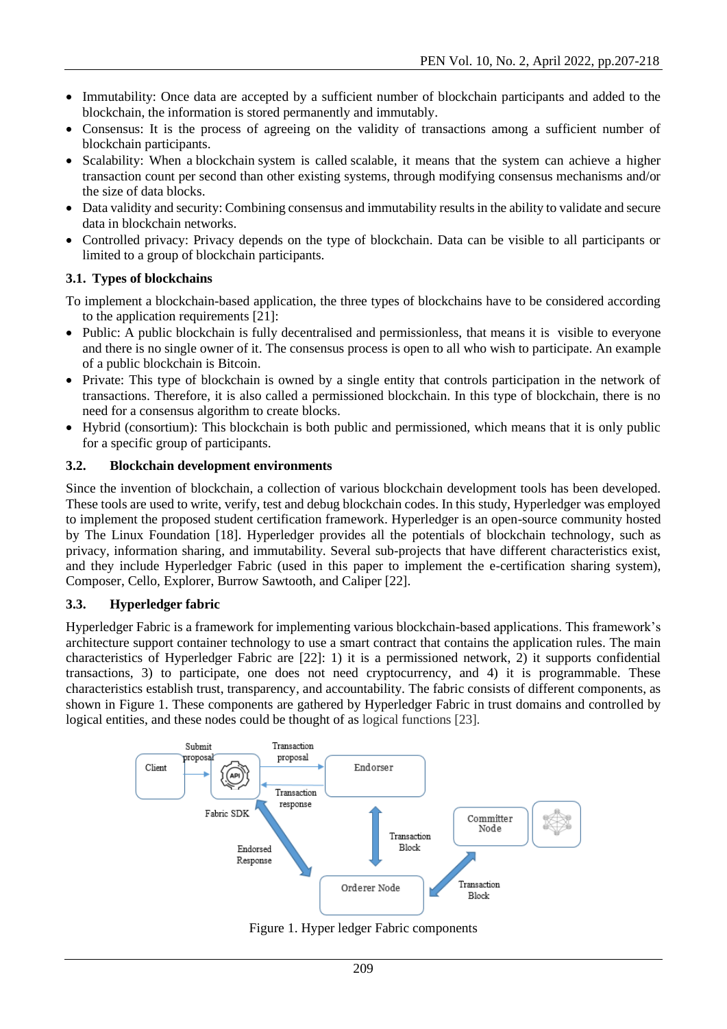- Immutability: Once data are accepted by a sufficient number of blockchain participants and added to the blockchain, the information is stored permanently and immutably.
- Consensus: It is the process of agreeing on the validity of transactions among a sufficient number of blockchain participants.
- Scalability: When a blockchain system is called scalable, it means that the system can achieve a higher transaction count per second than other existing systems, through modifying consensus mechanisms and/or the size of data blocks.
- Data validity and security: Combining consensus and immutability results in the ability to validate and secure data in blockchain networks.
- Controlled privacy: Privacy depends on the type of blockchain. Data can be visible to all participants or limited to a group of blockchain participants.

# **3.1. Types of blockchains**

To implement a blockchain-based application, the three types of blockchains have to be considered according to the application requirements [21]:

- Public: A public blockchain is fully decentralised and permissionless, that means it is visible to everyone and there is no single owner of it. The consensus process is open to all who wish to participate. An example of a public blockchain is Bitcoin.
- Private: This type of blockchain is owned by a single entity that controls participation in the network of transactions. Therefore, it is also called a permissioned blockchain. In this type of blockchain, there is no need for a consensus algorithm to create blocks.
- Hybrid (consortium): This blockchain is both public and permissioned, which means that it is only public for a specific group of participants.

# **3.2. Blockchain development environments**

Since the invention of blockchain, a collection of various blockchain development tools has been developed. These tools are used to write, verify, test and debug blockchain codes. In this study, Hyperledger was employed to implement the proposed student certification framework. Hyperledger is an open-source community hosted by The Linux Foundation [18]. Hyperledger provides all the potentials of blockchain technology, such as privacy, information sharing, and immutability. Several sub-projects that have different characteristics exist, and they include [Hyperledger Fabric](about:blank) (used in this paper to implement the e-certification sharing system), [Composer, Cello, Explorer, Burrow](about:blank) [Sawtooth,](about:blank) and Caliper [22].

#### **3.3. [Hyperledger fabric](about:blank)**

Hyperledger Fabric is a framework for implementing various blockchain-based applications. This framework's architecture support container technology to use a smart contract that contains the application rules. The main characteristics of Hyperledger Fabric are [22]: 1) it is a permissioned network, 2) it supports confidential transactions, 3) to participate, one does not need cryptocurrency, and 4) it is programmable. These characteristics establish trust, transparency, and accountability. The fabric consists of different components, as shown in Figure 1. These components are gathered by Hyperledger Fabric in trust domains and controlled by logical entities, and these nodes could be thought of as logical functions [23].



Figure 1. Hyper ledger Fabric components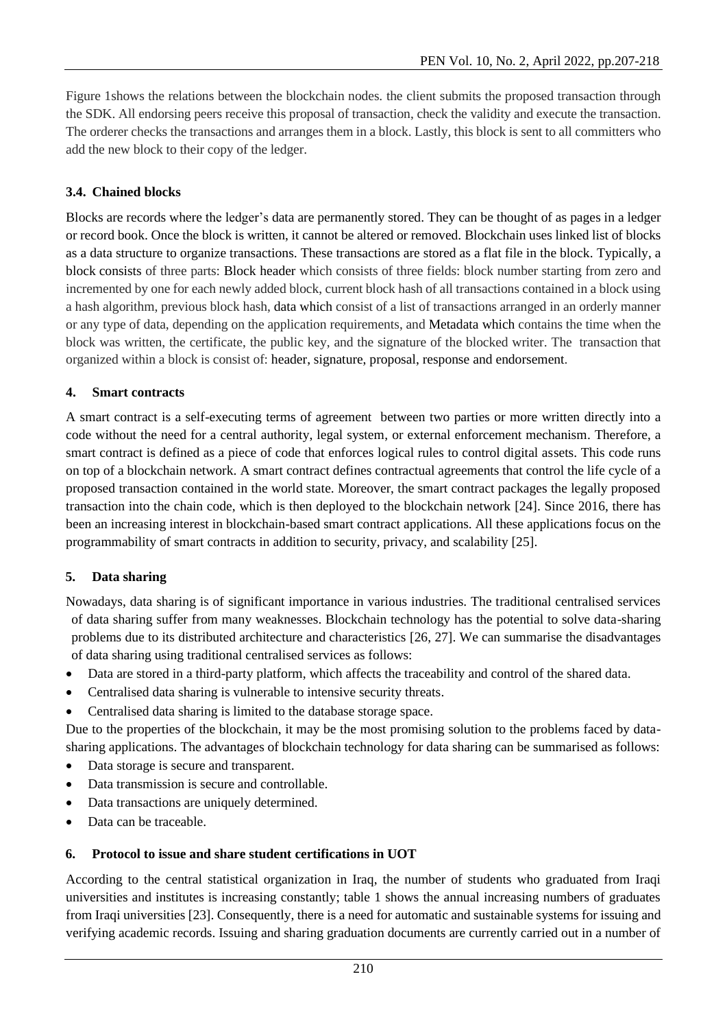Figure 1shows the relations between the blockchain nodes. the client submits the proposed transaction through the SDK. All endorsing peers receive this proposal of transaction, check the validity and execute the transaction. The orderer checks the transactions and arranges them in a block. Lastly, this block is sent to all committers who add the new block to their copy of the ledger.

### **3.4. Chained blocks**

Blocks are records where the ledger's data are permanently stored. They can be thought of as pages in a ledger or record book. Once the block is written, it cannot be altered or removed. Blockchain uses linked list of blocks as a data structure to organize transactions. These transactions are stored as a flat file in the block. Typically, a block consists of three parts: Block header which consists of three fields: block number starting from zero and incremented by one for each newly added block, current block hash of all transactions contained in a block using a hash algorithm, previous block hash, data which consist of a list of transactions arranged in an orderly manner or any type of data, depending on the application requirements, and Metadata which contains the time when the block was written, the certificate, the public key, and the signature of the blocked writer. The transaction that organized within a block is consist of: header, signature, proposal, response and endorsement.

### **4. Smart contracts**

A smart contract is a self-executing terms of agreement between two parties or more written directly into a code without the need for a central authority, legal system, or external enforcement mechanism. Therefore, a smart contract is defined as a piece of code that enforces logical rules to control digital assets. This code runs on top of a blockchain network. A smart contract defines contractual agreements that control the life cycle of a proposed transaction contained in the world state. Moreover, the smart contract packages the legally proposed transaction into the chain code, which is then deployed to the blockchain network [24]. Since 2016, there has been an increasing interest in blockchain-based smart contract applications. All these applications focus on the programmability of smart contracts in addition to security, privacy, and scalability [25].

# **5. Data sharing**

Nowadays, data sharing is of significant importance in various industries. The traditional centralised services of data sharing suffer from many weaknesses. Blockchain technology has the potential to solve data-sharing problems due to its distributed architecture and characteristics [26, 27]. We can summarise the disadvantages of data sharing using traditional centralised services as follows:

- Data are stored in a third-party platform, which affects the traceability and control of the shared data.
- Centralised data sharing is vulnerable to intensive security threats.
- Centralised data sharing is limited to the database storage space.

Due to the properties of the blockchain, it may be the most promising solution to the problems faced by datasharing applications. The advantages of blockchain technology for data sharing can be summarised as follows:

- Data storage is secure and transparent.
- Data transmission is secure and controllable.
- Data transactions are uniquely determined.
- Data can be traceable.

#### **6. Protocol to issue and share student certifications in UOT**

According to the central statistical organization in Iraq, the number of students who graduated from Iraqi universities and institutes is increasing constantly; table 1 shows the annual increasing numbers of graduates from Iraqi universities [23]. Consequently, there is a need for automatic and sustainable systems for issuing and verifying academic records. Issuing and sharing graduation documents are currently carried out in a number of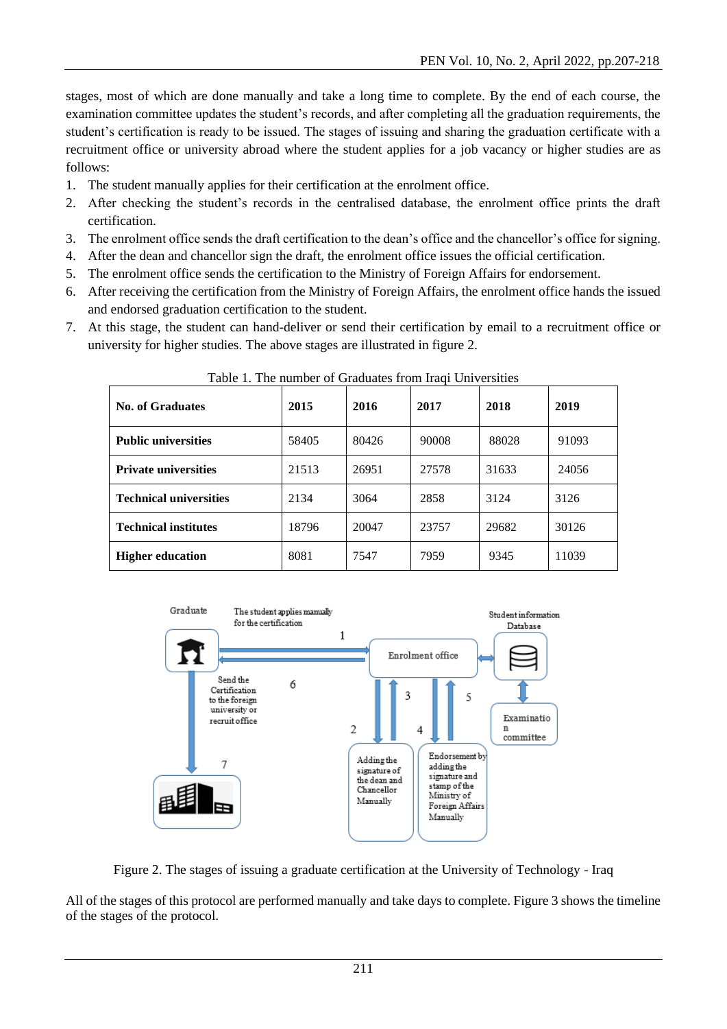stages, most of which are done manually and take a long time to complete. By the end of each course, the examination committee updates the student's records, and after completing all the graduation requirements, the student's certification is ready to be issued. The stages of issuing and sharing the graduation certificate with a recruitment office or university abroad where the student applies for a job vacancy or higher studies are as follows:

- 1. The student manually applies for their certification at the enrolment office.
- 2. After checking the student's records in the centralised database, the enrolment office prints the draft certification.
- 3. The enrolment office sends the draft certification to the dean's office and the chancellor's office for signing.
- 4. After the dean and chancellor sign the draft, the enrolment office issues the official certification.
- 5. The enrolment office sends the certification to the Ministry of Foreign Affairs for endorsement.
- 6. After receiving the certification from the Ministry of Foreign Affairs, the enrolment office hands the issued and endorsed graduation certification to the student.
- 7. At this stage, the student can hand-deliver or send their certification by email to a recruitment office or university for higher studies. The above stages are illustrated in figure 2.

| <b>No. of Graduates</b>       | 2015  | 2016  | 2017  | 2018  | 2019  |
|-------------------------------|-------|-------|-------|-------|-------|
| <b>Public universities</b>    | 58405 | 80426 | 90008 | 88028 | 91093 |
| <b>Private universities</b>   | 21513 | 26951 | 27578 | 31633 | 24056 |
| <b>Technical universities</b> | 2134  | 3064  | 2858  | 3124  | 3126  |
| <b>Technical institutes</b>   | 18796 | 20047 | 23757 | 29682 | 30126 |
| <b>Higher education</b>       | 8081  | 7547  | 7959  | 9345  | 11039 |

Table 1. The number of Graduates from Iraqi Universities



Figure 2. The stages of issuing a graduate certification at the University of Technology - Iraq

All of the stages of this protocol are performed manually and take days to complete. Figure 3 shows the timeline of the stages of the protocol.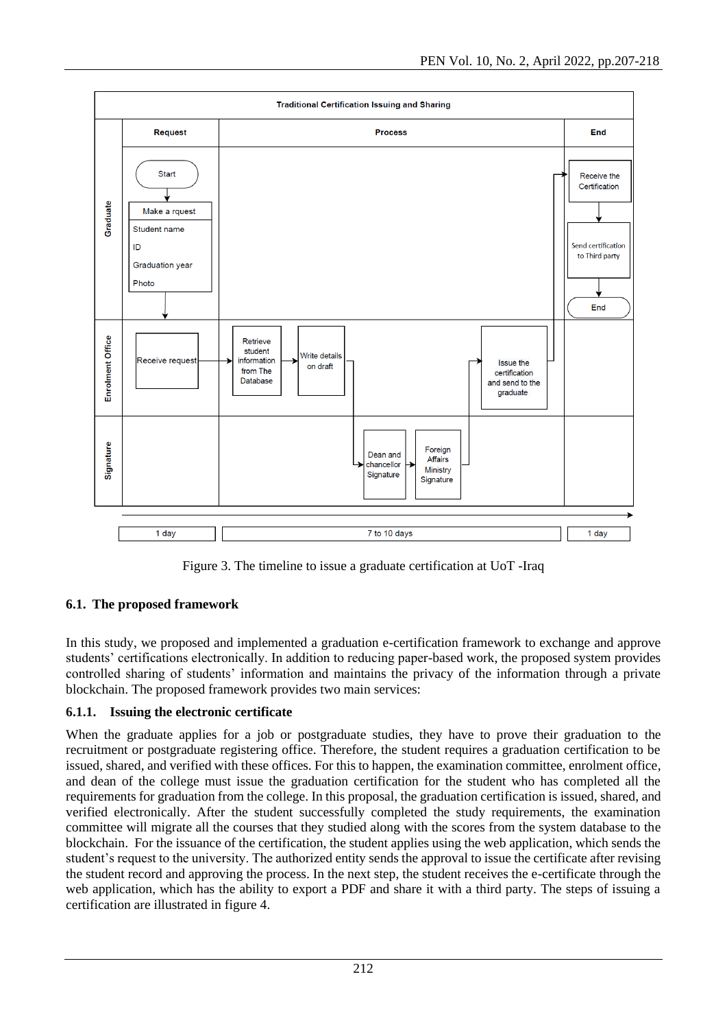

Figure 3. The timeline to issue a graduate certification at UoT -Iraq

# **6.1. The proposed framework**

In this study, we proposed and implemented a graduation e-certification framework to exchange and approve students' certifications electronically. In addition to reducing paper-based work, the proposed system provides controlled sharing of students' information and maintains the privacy of the information through a private blockchain. The proposed framework provides two main services:

# **6.1.1. Issuing the electronic certificate**

When the graduate applies for a job or postgraduate studies, they have to prove their graduation to the recruitment or postgraduate registering office. Therefore, the student requires a graduation certification to be issued, shared, and verified with these offices. For this to happen, the examination committee, enrolment office, and dean of the college must issue the graduation certification for the student who has completed all the requirements for graduation from the college. In this proposal, the graduation certification is issued, shared, and verified electronically. After the student successfully completed the study requirements, the examination committee will migrate all the courses that they studied along with the scores from the system database to the blockchain. For the issuance of the certification, the student applies using the web application, which sends the student's request to the university. The authorized entity sends the approval to issue the certificate after revising the student record and approving the process. In the next step, the student receives the e-certificate through the web application, which has the ability to export a PDF and share it with a third party. The steps of issuing a certification are illustrated in figure 4.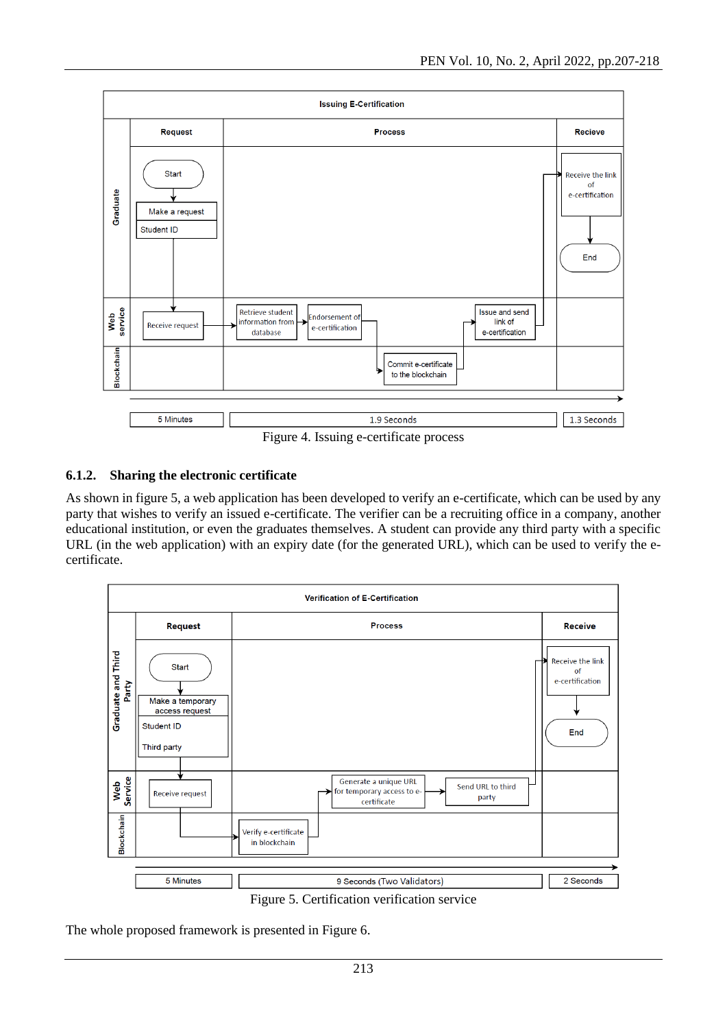

Figure 4. Issuing e-certificate process

# **6.1.2. Sharing the electronic certificate**

As shown in figure 5, a web application has been developed to verify an e-certificate, which can be used by any party that wishes to verify an issued e-certificate. The verifier can be a recruiting office in a company, another educational institution, or even the graduates themselves. A student can provide any third party with a specific URL (in the web application) with an expiry date (for the generated URL), which can be used to verify the ecertificate.



Figure 5. Certification verification service

The whole proposed framework is presented in Figure 6.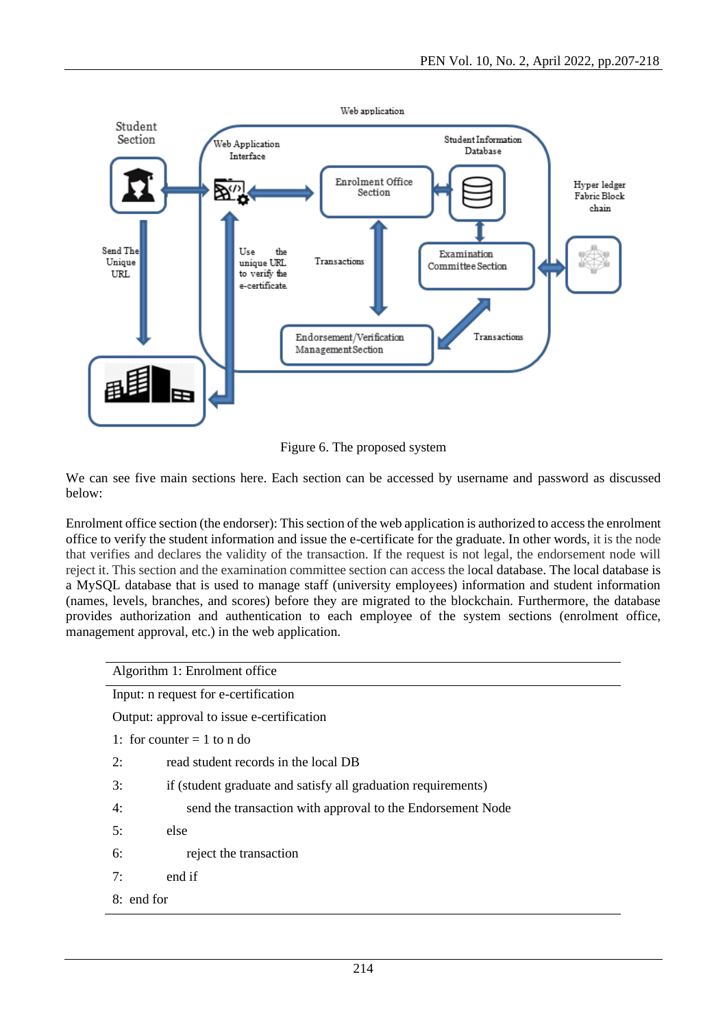

Figure 6. The proposed system

We can see five main sections here. Each section can be accessed by username and password as discussed below:

Enrolment office section (the endorser): This section of the web application is authorized to access the enrolment office to verify the student information and issue the e-certificate for the graduate. In other words, it is the node that verifies and declares the validity of the transaction. If the request is not legal, the endorsement node will reject it. This section and the examination committee section can access the local database. The local database is a MySQL database that is used to manage staff (university employees) information and student information (names, levels, branches, and scores) before they are migrated to the blockchain. Furthermore, the database provides authorization and authentication to each employee of the system sections (enrolment office, management approval, etc.) in the web application.

| Algorithm 1: Enrolment office                                       |  |  |
|---------------------------------------------------------------------|--|--|
| Input: n request for e-certification                                |  |  |
| Output: approval to issue e-certification                           |  |  |
| 1: for counter $= 1$ to n do                                        |  |  |
| read student records in the local DB<br>2:                          |  |  |
| if (student graduate and satisfy all graduation requirements)<br>3: |  |  |
| send the transaction with approval to the Endorsement Node<br>4:    |  |  |
| else<br>5:                                                          |  |  |
| reject the transaction<br>6:                                        |  |  |
| 7:<br>end if                                                        |  |  |
| 8: end for                                                          |  |  |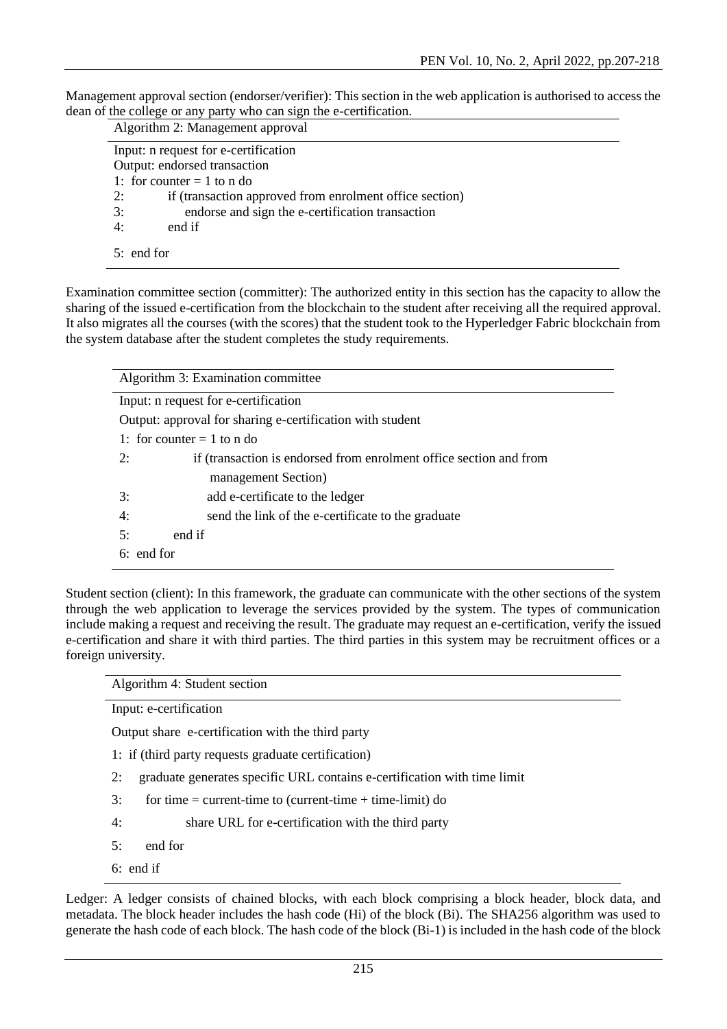Management approval section (endorser/verifier): This section in the web application is authorised to access the dean of the college or any party who can sign the e-certification.

| Algorithm 2: Management approval                              |
|---------------------------------------------------------------|
| Input: n request for e-certification                          |
| Output: endorsed transaction                                  |
| 1: for counter $= 1$ to n do                                  |
| 2:<br>if (transaction approved from enrolment office section) |
| 3:<br>endorse and sign the e-certification transaction        |
| end if<br>4:                                                  |
| $5:$ end for                                                  |

Examination committee section (committer): The authorized entity in this section has the capacity to allow the sharing of the issued e-certification from the blockchain to the student after receiving all the required approval. It also migrates all the courses (with the scores) that the student took to the Hyperledger Fabric blockchain from the system database after the student completes the study requirements.

| Algorithm 3: Examination committee                                       |  |  |  |
|--------------------------------------------------------------------------|--|--|--|
| Input: n request for e-certification                                     |  |  |  |
| Output: approval for sharing e-certification with student                |  |  |  |
| 1: for counter $= 1$ to n do                                             |  |  |  |
| 2:<br>if (transaction is endorsed from enrolment office section and from |  |  |  |
| management Section)                                                      |  |  |  |
| 3:<br>add e-certificate to the ledger                                    |  |  |  |
| 4:<br>send the link of the e-certificate to the graduate                 |  |  |  |
| 5:<br>end if                                                             |  |  |  |
| $6:$ end for                                                             |  |  |  |

Student section (client): In this framework, the graduate can communicate with the other sections of the system through the web application to leverage the services provided by the system. The types of communication include making a request and receiving the result. The graduate may request an e-certification, verify the issued e-certification and share it with third parties. The third parties in this system may be recruitment offices or a foreign university.

Algorithm 4: Student section

Input: e-certification

Output share e-certification with the third party

- 1: if (third party requests graduate certification)
- 2: graduate generates specific URL contains e-certification with time limit
- $3:$  for time = current-time to (current-time + time-limit) do
- 4: share URL for e-certification with the third party
- 5: end for
- 6: end if

Ledger: A ledger consists of chained blocks, with each block comprising a block header, block data, and metadata. The block header includes the hash code (Hi) of the block (Bi). The SHA256 algorithm was used to generate the hash code of each block. The hash code of the block (Bi-1) is included in the hash code of the block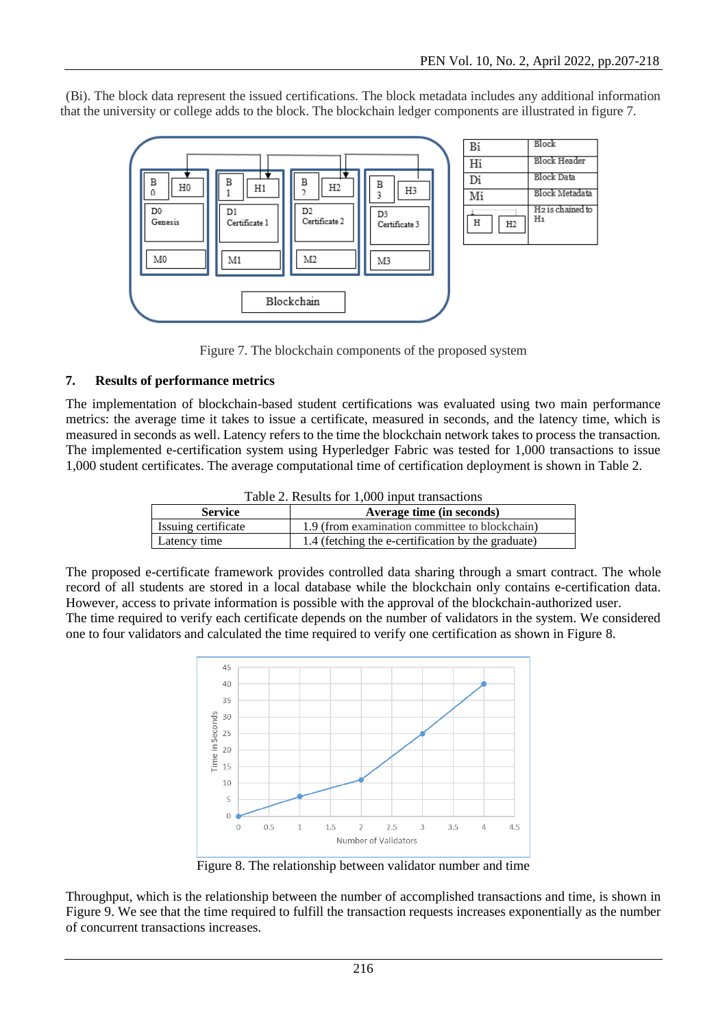(Bi). The block data represent the issued certifications. The block metadata includes any additional information that the university or college adds to the block. The blockchain ledger components are illustrated in figure 7.



Figure 7. The blockchain components of the proposed system

#### **7. Results of performance metrics**

The implementation of blockchain-based student certifications was evaluated using two main performance metrics: the average time it takes to issue a certificate, measured in seconds, and the latency time, which is measured in seconds as well. Latency refers to the time the blockchain network takes to process the transaction. The implemented e-certification system using Hyperledger Fabric was tested for 1,000 transactions to issue 1,000 student certificates. The average computational time of certification deployment is shown in Table 2.

| Table 2. Results for 1,000 input transactions |  |  |
|-----------------------------------------------|--|--|
|-----------------------------------------------|--|--|

| <b>Service</b>      | Average time (in seconds)                          |
|---------------------|----------------------------------------------------|
| Issuing certificate | 1.9 (from examination committee to blockchain)     |
| Latency time        | 1.4 (fetching the e-certification by the graduate) |

The proposed e-certificate framework provides controlled data sharing through a smart contract. The whole record of all students are stored in a local database while the blockchain only contains e-certification data. However, access to private information is possible with the approval of the blockchain-authorized user. The time required to verify each certificate depends on the number of validators in the system. We considered one to four validators and calculated the time required to verify one certification as shown in Figure 8.



Figure 8. The relationship between validator number and time

Throughput, which is the relationship between the number of accomplished transactions and time, is shown in Figure 9. We see that the time required to fulfill the transaction requests increases exponentially as the number of concurrent transactions increases.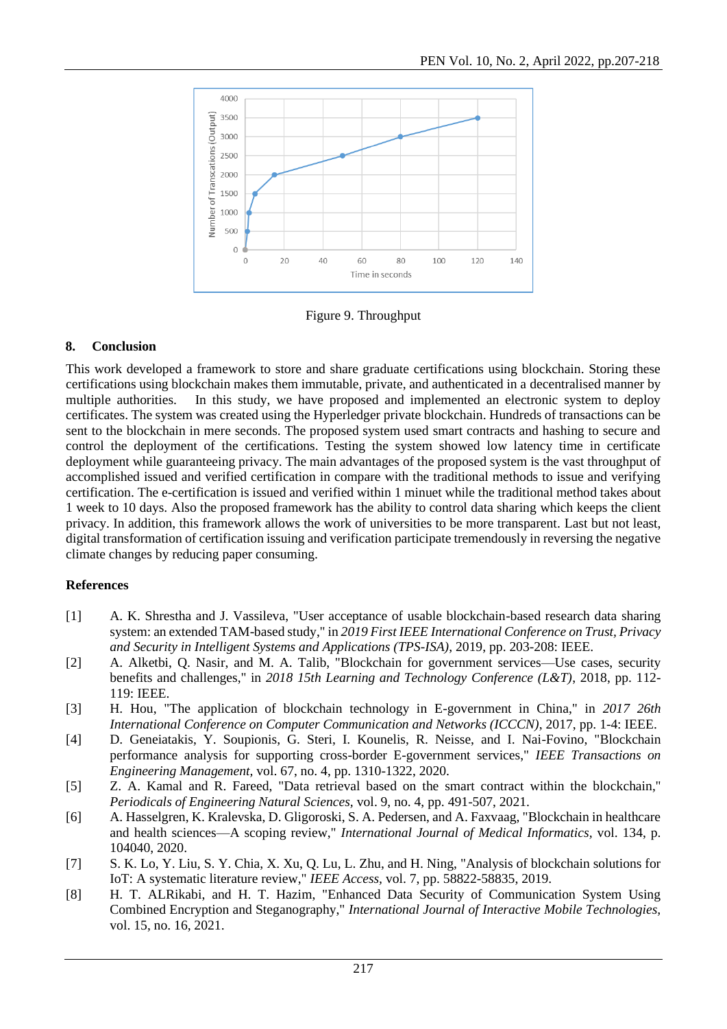

Figure 9. Throughput

### **8. Conclusion**

This work developed a framework to store and share graduate certifications using blockchain. Storing these certifications using blockchain makes them immutable, private, and authenticated in a decentralised manner by multiple authorities. In this study, we have proposed and implemented an electronic system to deploy certificates. The system was created using the Hyperledger private blockchain. Hundreds of transactions can be sent to the blockchain in mere seconds. The proposed system used smart contracts and hashing to secure and control the deployment of the certifications. Testing the system showed low latency time in certificate deployment while guaranteeing privacy. The main advantages of the proposed system is the vast throughput of accomplished issued and verified certification in compare with the traditional methods to issue and verifying certification. The e-certification is issued and verified within 1 minuet while the traditional method takes about 1 week to 10 days. Also the proposed framework has the ability to control data sharing which keeps the client privacy. In addition, this framework allows the work of universities to be more transparent. Last but not least, digital transformation of certification issuing and verification participate tremendously in reversing the negative climate changes by reducing paper consuming.

#### **References**

- [1] A. K. Shrestha and J. Vassileva, "User acceptance of usable blockchain-based research data sharing system: an extended TAM-based study," in *2019 First IEEE International Conference on Trust, Privacy and Security in Intelligent Systems and Applications (TPS-ISA)*, 2019, pp. 203-208: IEEE.
- [2] A. Alketbi, Q. Nasir, and M. A. Talib, "Blockchain for government services—Use cases, security benefits and challenges," in *2018 15th Learning and Technology Conference (L&T)*, 2018, pp. 112- 119: IEEE.
- [3] H. Hou, "The application of blockchain technology in E-government in China," in *2017 26th International Conference on Computer Communication and Networks (ICCCN)*, 2017, pp. 1-4: IEEE.
- [4] D. Geneiatakis, Y. Soupionis, G. Steri, I. Kounelis, R. Neisse, and I. Nai-Fovino, "Blockchain performance analysis for supporting cross-border E-government services," *IEEE Transactions on Engineering Management,* vol. 67, no. 4, pp. 1310-1322, 2020.
- [5] Z. A. Kamal and R. Fareed, "Data retrieval based on the smart contract within the blockchain," *Periodicals of Engineering Natural Sciences,* vol. 9, no. 4, pp. 491-507, 2021.
- [6] A. Hasselgren, K. Kralevska, D. Gligoroski, S. A. Pedersen, and A. Faxvaag, "Blockchain in healthcare and health sciences—A scoping review," *International Journal of Medical Informatics,* vol. 134, p. 104040, 2020.
- [7] S. K. Lo, Y. Liu, S. Y. Chia, X. Xu, Q. Lu, L. Zhu, and H. Ning, "Analysis of blockchain solutions for IoT: A systematic literature review," *IEEE Access,* vol. 7, pp. 58822-58835, 2019.
- [8] H. T. ALRikabi, and H. T. Hazim, "Enhanced Data Security of Communication System Using Combined Encryption and Steganography," *International Journal of Interactive Mobile Technologies,*  vol. 15, no. 16, 2021.